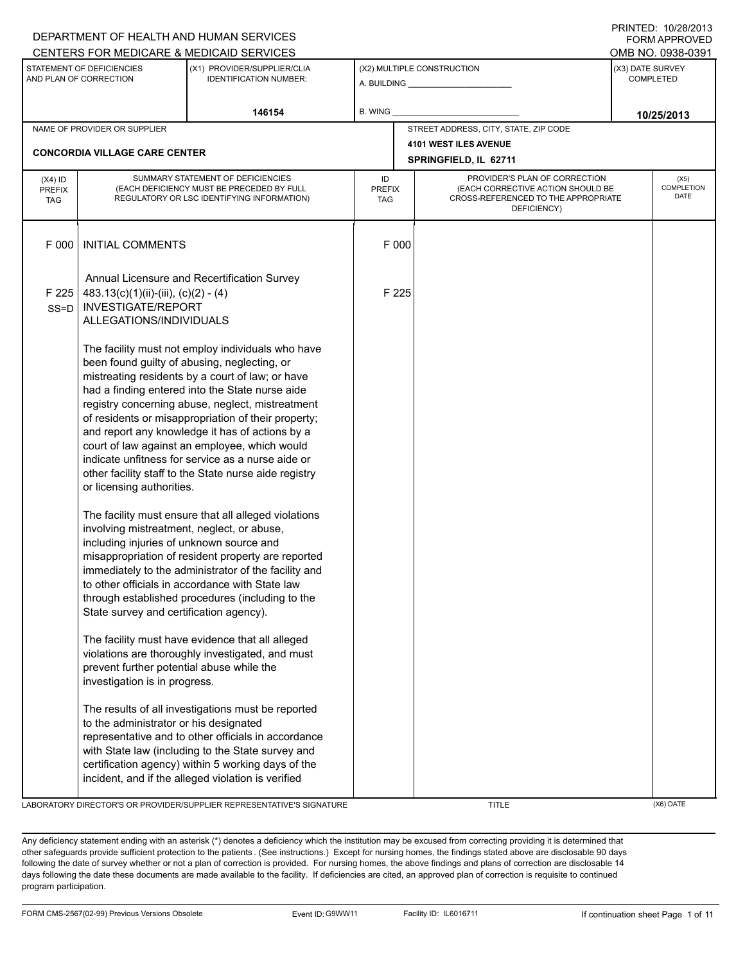|                                          |                                                     | DEPARTMENT OF HEALTH AND HUMAN SERVICES                                                                                      |                                   |                                                       |                                                                                                                          | $1 \times 1 \times 1 = 1$ . $1 \times 1 = 1 \times 1$<br><b>FORM APPROVED</b> |
|------------------------------------------|-----------------------------------------------------|------------------------------------------------------------------------------------------------------------------------------|-----------------------------------|-------------------------------------------------------|--------------------------------------------------------------------------------------------------------------------------|-------------------------------------------------------------------------------|
|                                          |                                                     | CENTERS FOR MEDICARE & MEDICAID SERVICES                                                                                     |                                   |                                                       |                                                                                                                          | OMB NO. 0938-0391                                                             |
|                                          | STATEMENT OF DEFICIENCIES<br>AND PLAN OF CORRECTION | (X1) PROVIDER/SUPPLIER/CLIA<br><b>IDENTIFICATION NUMBER:</b>                                                                 |                                   | (X2) MULTIPLE CONSTRUCTION<br>A. BUILDING A. BUILDING |                                                                                                                          | (X3) DATE SURVEY<br><b>COMPLETED</b>                                          |
|                                          |                                                     | 146154                                                                                                                       | B. WING                           |                                                       |                                                                                                                          | 10/25/2013                                                                    |
|                                          | NAME OF PROVIDER OR SUPPLIER                        |                                                                                                                              |                                   | STREET ADDRESS, CITY, STATE, ZIP CODE                 |                                                                                                                          |                                                                               |
|                                          | <b>CONCORDIA VILLAGE CARE CENTER</b>                |                                                                                                                              |                                   | 4101 WEST ILES AVENUE                                 |                                                                                                                          |                                                                               |
|                                          |                                                     |                                                                                                                              |                                   | SPRINGFIELD, IL 62711                                 |                                                                                                                          |                                                                               |
| $(X4)$ ID<br><b>PREFIX</b><br><b>TAG</b> |                                                     | SUMMARY STATEMENT OF DEFICIENCIES<br>(EACH DEFICIENCY MUST BE PRECEDED BY FULL<br>REGULATORY OR LSC IDENTIFYING INFORMATION) | ID<br><b>PREFIX</b><br><b>TAG</b> |                                                       | PROVIDER'S PLAN OF CORRECTION<br>(EACH CORRECTIVE ACTION SHOULD BE<br>CROSS-REFERENCED TO THE APPROPRIATE<br>DEFICIENCY) | (X5)<br>COMPLETION<br>DATE                                                    |
| F 000                                    | <b>INITIAL COMMENTS</b>                             |                                                                                                                              | F 000                             |                                                       |                                                                                                                          |                                                                               |
|                                          |                                                     | Annual Licensure and Recertification Survey                                                                                  |                                   |                                                       |                                                                                                                          |                                                                               |
| F 225                                    | $483.13(c)(1)(ii)-(iii), (c)(2)-(4)$                |                                                                                                                              | F 225                             |                                                       |                                                                                                                          |                                                                               |
| $SS = D$                                 | <b>INVESTIGATE/REPORT</b>                           |                                                                                                                              |                                   |                                                       |                                                                                                                          |                                                                               |
|                                          | ALLEGATIONS/INDIVIDUALS                             |                                                                                                                              |                                   |                                                       |                                                                                                                          |                                                                               |
|                                          |                                                     | The facility must not employ individuals who have                                                                            |                                   |                                                       |                                                                                                                          |                                                                               |
|                                          |                                                     | been found guilty of abusing, neglecting, or                                                                                 |                                   |                                                       |                                                                                                                          |                                                                               |
|                                          |                                                     | mistreating residents by a court of law; or have                                                                             |                                   |                                                       |                                                                                                                          |                                                                               |
|                                          |                                                     | had a finding entered into the State nurse aide                                                                              |                                   |                                                       |                                                                                                                          |                                                                               |
|                                          |                                                     | registry concerning abuse, neglect, mistreatment                                                                             |                                   |                                                       |                                                                                                                          |                                                                               |
|                                          |                                                     | of residents or misappropriation of their property;<br>and report any knowledge it has of actions by a                       |                                   |                                                       |                                                                                                                          |                                                                               |
|                                          |                                                     | court of law against an employee, which would                                                                                |                                   |                                                       |                                                                                                                          |                                                                               |
|                                          |                                                     | indicate unfitness for service as a nurse aide or                                                                            |                                   |                                                       |                                                                                                                          |                                                                               |
|                                          | or licensing authorities.                           | other facility staff to the State nurse aide registry                                                                        |                                   |                                                       |                                                                                                                          |                                                                               |
|                                          | involving mistreatment, neglect, or abuse,          | The facility must ensure that all alleged violations                                                                         |                                   |                                                       |                                                                                                                          |                                                                               |
|                                          | including injuries of unknown source and            |                                                                                                                              |                                   |                                                       |                                                                                                                          |                                                                               |
|                                          |                                                     | misappropriation of resident property are reported                                                                           |                                   |                                                       |                                                                                                                          |                                                                               |
|                                          |                                                     | immediately to the administrator of the facility and                                                                         |                                   |                                                       |                                                                                                                          |                                                                               |
|                                          |                                                     | to other officials in accordance with State law                                                                              |                                   |                                                       |                                                                                                                          |                                                                               |
|                                          | State survey and certification agency).             | through established procedures (including to the                                                                             |                                   |                                                       |                                                                                                                          |                                                                               |
|                                          |                                                     | The facility must have evidence that all alleged                                                                             |                                   |                                                       |                                                                                                                          |                                                                               |
|                                          |                                                     | violations are thoroughly investigated, and must                                                                             |                                   |                                                       |                                                                                                                          |                                                                               |
|                                          | prevent further potential abuse while the           |                                                                                                                              |                                   |                                                       |                                                                                                                          |                                                                               |
|                                          | investigation is in progress.                       |                                                                                                                              |                                   |                                                       |                                                                                                                          |                                                                               |
|                                          |                                                     | The results of all investigations must be reported                                                                           |                                   |                                                       |                                                                                                                          |                                                                               |
|                                          | to the administrator or his designated              | representative and to other officials in accordance                                                                          |                                   |                                                       |                                                                                                                          |                                                                               |
|                                          |                                                     | with State law (including to the State survey and                                                                            |                                   |                                                       |                                                                                                                          |                                                                               |
|                                          |                                                     | certification agency) within 5 working days of the                                                                           |                                   |                                                       |                                                                                                                          |                                                                               |
|                                          |                                                     | incident, and if the alleged violation is verified                                                                           |                                   |                                                       |                                                                                                                          |                                                                               |
|                                          |                                                     |                                                                                                                              |                                   |                                                       |                                                                                                                          |                                                                               |

LABORATORY DIRECTOR'S OR PROVIDER/SUPPLIER REPRESENTATIVE'S SIGNATURE TITLE THE TITLE (X6) DATE

PRINTED: 10/28/2013

Any deficiency statement ending with an asterisk (\*) denotes a deficiency which the institution may be excused from correcting providing it is determined that other safeguards provide sufficient protection to the patients . (See instructions.) Except for nursing homes, the findings stated above are disclosable 90 days following the date of survey whether or not a plan of correction is provided. For nursing homes, the above findings and plans of correction are disclosable 14 days following the date these documents are made available to the facility. If deficiencies are cited, an approved plan of correction is requisite to continued program participation.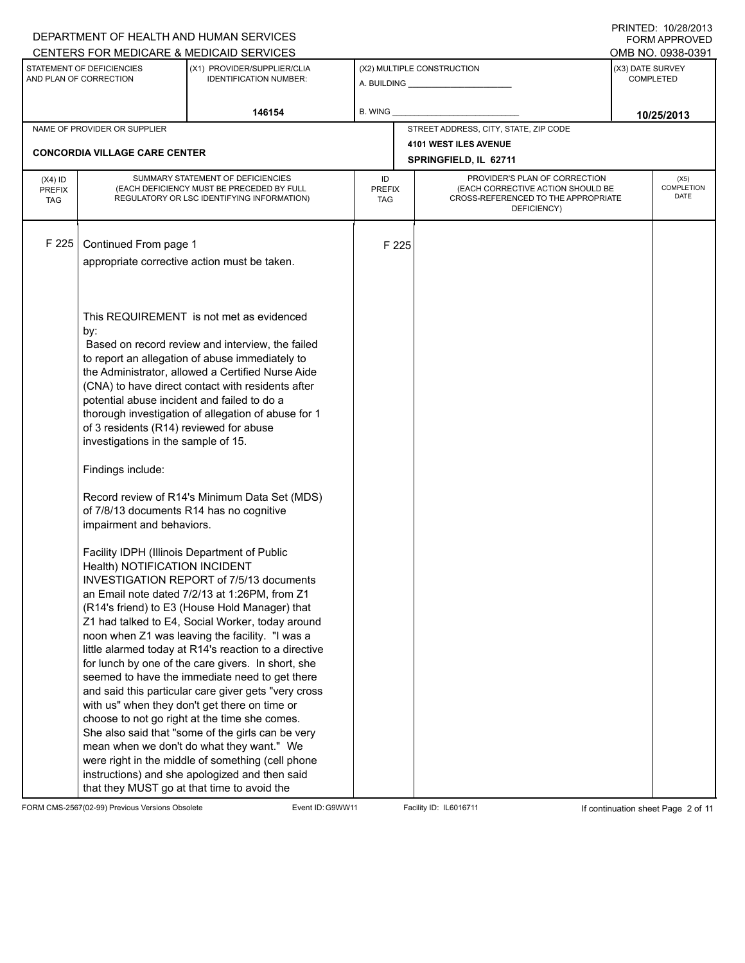|                                          |                                                                                                                                                                                                                                                                                                                     | DEPARTMENT OF HEALTH AND HUMAN SERVICES<br>CENTERS FOR MEDICARE & MEDICAID SERVICES                                                                                                                                                                                                                                                                                                                                                                                                                                                                                                                                                                                                                                                                                                                                                                                                                                                                                                                                                                                                                       |                                   |       |                                                                                                                          |                  | FININILU. IVIZOIZUIJ<br><b>FORM APPROVED</b><br>OMB NO. 0938-0391 |
|------------------------------------------|---------------------------------------------------------------------------------------------------------------------------------------------------------------------------------------------------------------------------------------------------------------------------------------------------------------------|-----------------------------------------------------------------------------------------------------------------------------------------------------------------------------------------------------------------------------------------------------------------------------------------------------------------------------------------------------------------------------------------------------------------------------------------------------------------------------------------------------------------------------------------------------------------------------------------------------------------------------------------------------------------------------------------------------------------------------------------------------------------------------------------------------------------------------------------------------------------------------------------------------------------------------------------------------------------------------------------------------------------------------------------------------------------------------------------------------------|-----------------------------------|-------|--------------------------------------------------------------------------------------------------------------------------|------------------|-------------------------------------------------------------------|
|                                          | STATEMENT OF DEFICIENCIES<br>AND PLAN OF CORRECTION                                                                                                                                                                                                                                                                 | (X1) PROVIDER/SUPPLIER/CLIA<br><b>IDENTIFICATION NUMBER:</b>                                                                                                                                                                                                                                                                                                                                                                                                                                                                                                                                                                                                                                                                                                                                                                                                                                                                                                                                                                                                                                              |                                   |       | (X2) MULTIPLE CONSTRUCTION                                                                                               | (X3) DATE SURVEY | <b>COMPLETED</b>                                                  |
|                                          |                                                                                                                                                                                                                                                                                                                     | 146154                                                                                                                                                                                                                                                                                                                                                                                                                                                                                                                                                                                                                                                                                                                                                                                                                                                                                                                                                                                                                                                                                                    | <b>B. WING</b>                    |       |                                                                                                                          |                  | 10/25/2013                                                        |
|                                          | NAME OF PROVIDER OR SUPPLIER                                                                                                                                                                                                                                                                                        |                                                                                                                                                                                                                                                                                                                                                                                                                                                                                                                                                                                                                                                                                                                                                                                                                                                                                                                                                                                                                                                                                                           |                                   |       | STREET ADDRESS, CITY, STATE, ZIP CODE                                                                                    |                  |                                                                   |
|                                          |                                                                                                                                                                                                                                                                                                                     |                                                                                                                                                                                                                                                                                                                                                                                                                                                                                                                                                                                                                                                                                                                                                                                                                                                                                                                                                                                                                                                                                                           |                                   |       | <b>4101 WEST ILES AVENUE</b>                                                                                             |                  |                                                                   |
|                                          | <b>CONCORDIA VILLAGE CARE CENTER</b>                                                                                                                                                                                                                                                                                |                                                                                                                                                                                                                                                                                                                                                                                                                                                                                                                                                                                                                                                                                                                                                                                                                                                                                                                                                                                                                                                                                                           |                                   |       | SPRINGFIELD, IL 62711                                                                                                    |                  |                                                                   |
| $(X4)$ ID<br><b>PREFIX</b><br><b>TAG</b> |                                                                                                                                                                                                                                                                                                                     | SUMMARY STATEMENT OF DEFICIENCIES<br>(EACH DEFICIENCY MUST BE PRECEDED BY FULL<br>REGULATORY OR LSC IDENTIFYING INFORMATION)                                                                                                                                                                                                                                                                                                                                                                                                                                                                                                                                                                                                                                                                                                                                                                                                                                                                                                                                                                              | ID<br><b>PREFIX</b><br><b>TAG</b> |       | PROVIDER'S PLAN OF CORRECTION<br>(EACH CORRECTIVE ACTION SHOULD BE<br>CROSS-REFERENCED TO THE APPROPRIATE<br>DEFICIENCY) |                  | (X5)<br>COMPLETION<br><b>DATE</b>                                 |
| F 225                                    | Continued From page 1                                                                                                                                                                                                                                                                                               | appropriate corrective action must be taken.                                                                                                                                                                                                                                                                                                                                                                                                                                                                                                                                                                                                                                                                                                                                                                                                                                                                                                                                                                                                                                                              |                                   | F 225 |                                                                                                                          |                  |                                                                   |
|                                          | by:<br>potential abuse incident and failed to do a<br>of 3 residents (R14) reviewed for abuse<br>investigations in the sample of 15.<br>Findings include:<br>of 7/8/13 documents R14 has no cognitive<br>impairment and behaviors.<br>Facility IDPH (Illinois Department of Public<br>Health) NOTIFICATION INCIDENT | This REQUIREMENT is not met as evidenced<br>Based on record review and interview, the failed<br>to report an allegation of abuse immediately to<br>the Administrator, allowed a Certified Nurse Aide<br>(CNA) to have direct contact with residents after<br>thorough investigation of allegation of abuse for 1<br>Record review of R14's Minimum Data Set (MDS)<br>INVESTIGATION REPORT of 7/5/13 documents<br>an Email note dated 7/2/13 at 1:26PM, from Z1<br>(R14's friend) to E3 (House Hold Manager) that<br>Z1 had talked to E4, Social Worker, today around<br>noon when Z1 was leaving the facility. "I was a<br>little alarmed today at R14's reaction to a directive<br>for lunch by one of the care givers. In short, she<br>seemed to have the immediate need to get there<br>and said this particular care giver gets "very cross<br>with us" when they don't get there on time or<br>choose to not go right at the time she comes.<br>She also said that "some of the girls can be very<br>mean when we don't do what they want." We<br>were right in the middle of something (cell phone |                                   |       |                                                                                                                          |                  |                                                                   |
|                                          |                                                                                                                                                                                                                                                                                                                     | instructions) and she apologized and then said<br>that they MUST go at that time to avoid the                                                                                                                                                                                                                                                                                                                                                                                                                                                                                                                                                                                                                                                                                                                                                                                                                                                                                                                                                                                                             |                                   |       |                                                                                                                          |                  |                                                                   |

FORM CMS-2567(02-99) Previous Versions Obsolete Event ID:G9WW11 Facility ID: IL6016711 If continuation sheet Page 2 of 11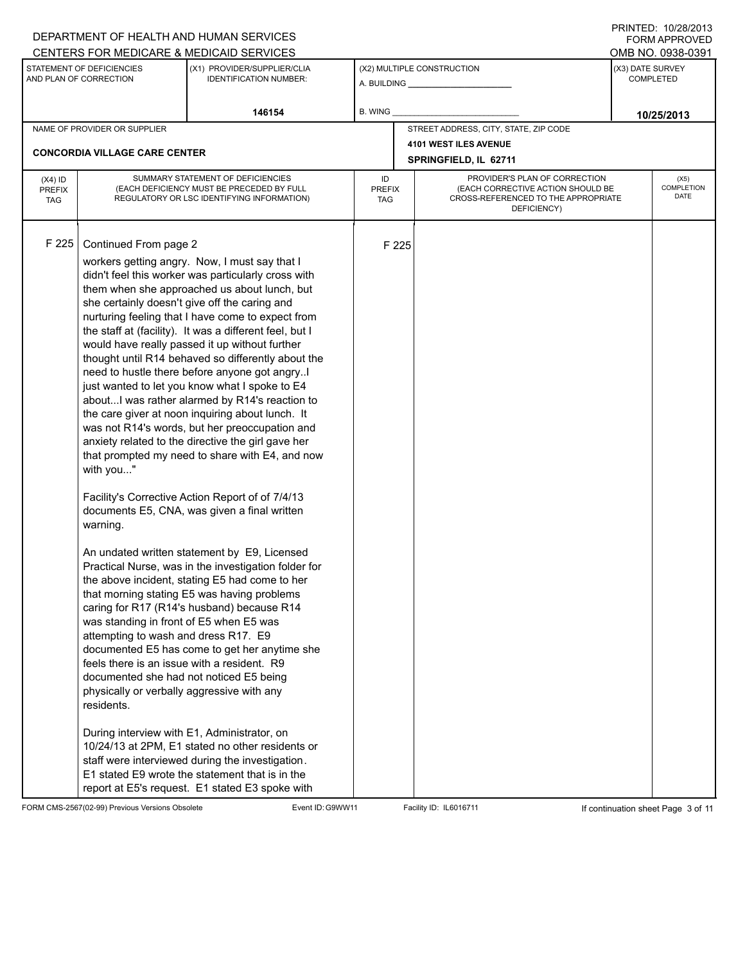|                                          |                                                                                                                                                                                                                                                                                                                                        | DEPARTMENT OF HEALTH AND HUMAN SERVICES<br>CENTERS FOR MEDICARE & MEDICAID SERVICES                                                                                                                                                                                                                                                                                                                                                                                                                                                                                                                                                                                                                                                                                                                                                                                                                                                                                                                                                                                                                                                                                                                                                                                                                                                                                                                                          |                            |       |                                                                                                                          |                  | FININILU. IVZUZUTJ<br><b>FORM APPROVED</b><br>OMB NO. 0938-0391 |
|------------------------------------------|----------------------------------------------------------------------------------------------------------------------------------------------------------------------------------------------------------------------------------------------------------------------------------------------------------------------------------------|------------------------------------------------------------------------------------------------------------------------------------------------------------------------------------------------------------------------------------------------------------------------------------------------------------------------------------------------------------------------------------------------------------------------------------------------------------------------------------------------------------------------------------------------------------------------------------------------------------------------------------------------------------------------------------------------------------------------------------------------------------------------------------------------------------------------------------------------------------------------------------------------------------------------------------------------------------------------------------------------------------------------------------------------------------------------------------------------------------------------------------------------------------------------------------------------------------------------------------------------------------------------------------------------------------------------------------------------------------------------------------------------------------------------------|----------------------------|-------|--------------------------------------------------------------------------------------------------------------------------|------------------|-----------------------------------------------------------------|
|                                          | STATEMENT OF DEFICIENCIES<br>AND PLAN OF CORRECTION                                                                                                                                                                                                                                                                                    | (X1) PROVIDER/SUPPLIER/CLIA<br><b>IDENTIFICATION NUMBER:</b>                                                                                                                                                                                                                                                                                                                                                                                                                                                                                                                                                                                                                                                                                                                                                                                                                                                                                                                                                                                                                                                                                                                                                                                                                                                                                                                                                                 |                            |       | (X2) MULTIPLE CONSTRUCTION                                                                                               | (X3) DATE SURVEY | <b>COMPLETED</b>                                                |
|                                          |                                                                                                                                                                                                                                                                                                                                        | 146154                                                                                                                                                                                                                                                                                                                                                                                                                                                                                                                                                                                                                                                                                                                                                                                                                                                                                                                                                                                                                                                                                                                                                                                                                                                                                                                                                                                                                       | <b>B. WING</b>             |       |                                                                                                                          |                  | 10/25/2013                                                      |
|                                          | NAME OF PROVIDER OR SUPPLIER                                                                                                                                                                                                                                                                                                           |                                                                                                                                                                                                                                                                                                                                                                                                                                                                                                                                                                                                                                                                                                                                                                                                                                                                                                                                                                                                                                                                                                                                                                                                                                                                                                                                                                                                                              |                            |       | STREET ADDRESS, CITY, STATE, ZIP CODE                                                                                    |                  |                                                                 |
|                                          | <b>CONCORDIA VILLAGE CARE CENTER</b>                                                                                                                                                                                                                                                                                                   |                                                                                                                                                                                                                                                                                                                                                                                                                                                                                                                                                                                                                                                                                                                                                                                                                                                                                                                                                                                                                                                                                                                                                                                                                                                                                                                                                                                                                              |                            |       | <b>4101 WEST ILES AVENUE</b><br>SPRINGFIELD, IL 62711                                                                    |                  |                                                                 |
| $(X4)$ ID<br><b>PREFIX</b><br><b>TAG</b> |                                                                                                                                                                                                                                                                                                                                        | SUMMARY STATEMENT OF DEFICIENCIES<br>(EACH DEFICIENCY MUST BE PRECEDED BY FULL<br>REGULATORY OR LSC IDENTIFYING INFORMATION)                                                                                                                                                                                                                                                                                                                                                                                                                                                                                                                                                                                                                                                                                                                                                                                                                                                                                                                                                                                                                                                                                                                                                                                                                                                                                                 | ID<br><b>PREFIX</b><br>TAG |       | PROVIDER'S PLAN OF CORRECTION<br>(EACH CORRECTIVE ACTION SHOULD BE<br>CROSS-REFERENCED TO THE APPROPRIATE<br>DEFICIENCY) |                  | (X5)<br><b>COMPLETION</b><br>DATE                               |
| F 225                                    | Continued From page 2<br>with you"<br>warning.<br>was standing in front of E5 when E5 was<br>attempting to wash and dress R17. E9<br>feels there is an issue with a resident. R9<br>documented she had not noticed E5 being<br>physically or verbally aggressive with any<br>residents.<br>During interview with E1, Administrator, on | workers getting angry. Now, I must say that I<br>didn't feel this worker was particularly cross with<br>them when she approached us about lunch, but<br>she certainly doesn't give off the caring and<br>nurturing feeling that I have come to expect from<br>the staff at (facility). It was a different feel, but I<br>would have really passed it up without further<br>thought until R14 behaved so differently about the<br>need to hustle there before anyone got angry!<br>just wanted to let you know what I spoke to E4<br>about I was rather alarmed by R14's reaction to<br>the care giver at noon inquiring about lunch. It<br>was not R14's words, but her preoccupation and<br>anxiety related to the directive the girl gave her<br>that prompted my need to share with E4, and now<br>Facility's Corrective Action Report of of 7/4/13<br>documents E5, CNA, was given a final written<br>An undated written statement by E9, Licensed<br>Practical Nurse, was in the investigation folder for<br>the above incident, stating E5 had come to her<br>that morning stating E5 was having problems<br>caring for R17 (R14's husband) because R14<br>documented E5 has come to get her anytime she<br>10/24/13 at 2PM, E1 stated no other residents or<br>staff were interviewed during the investigation.<br>E1 stated E9 wrote the statement that is in the<br>report at E5's request. E1 stated E3 spoke with |                            | F 225 |                                                                                                                          |                  |                                                                 |

FORM CMS-2567(02-99) Previous Versions Obsolete Event ID:G9WW11 Facility ID: IL6016711 If continuation sheet Page 3 of 11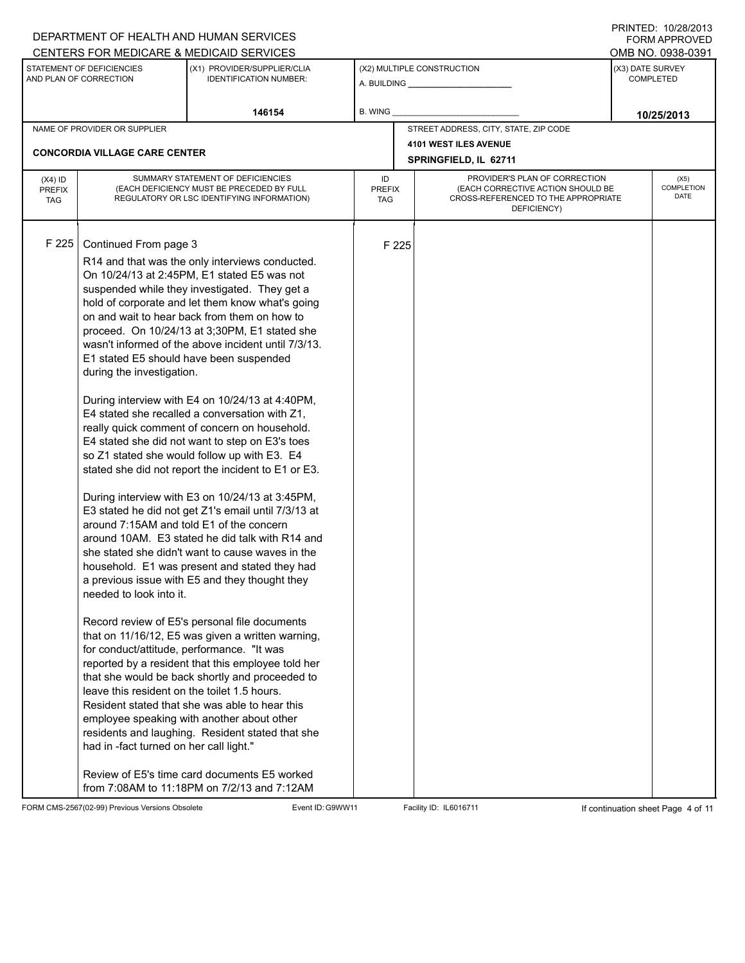|                                          |                                                                                                                                                                                                                                                                    | DEPARTMENT OF HEALTH AND HUMAN SERVICES                                                                                                                                                                                                                                                                                                                                                                                                                                                                                                                                                                                                                                                                                                                                                                                                                                                                                                                                                                                                                                                                                                                                                                                                                                                                                                                                                                                                                       |                            |       |                                                                                                                          |                  | $1 \times 1 \times 1 = 1$ . $1 \times 1 = 1 \times 1$<br><b>FORM APPROVED</b> |  |
|------------------------------------------|--------------------------------------------------------------------------------------------------------------------------------------------------------------------------------------------------------------------------------------------------------------------|---------------------------------------------------------------------------------------------------------------------------------------------------------------------------------------------------------------------------------------------------------------------------------------------------------------------------------------------------------------------------------------------------------------------------------------------------------------------------------------------------------------------------------------------------------------------------------------------------------------------------------------------------------------------------------------------------------------------------------------------------------------------------------------------------------------------------------------------------------------------------------------------------------------------------------------------------------------------------------------------------------------------------------------------------------------------------------------------------------------------------------------------------------------------------------------------------------------------------------------------------------------------------------------------------------------------------------------------------------------------------------------------------------------------------------------------------------------|----------------------------|-------|--------------------------------------------------------------------------------------------------------------------------|------------------|-------------------------------------------------------------------------------|--|
|                                          |                                                                                                                                                                                                                                                                    | CENTERS FOR MEDICARE & MEDICAID SERVICES                                                                                                                                                                                                                                                                                                                                                                                                                                                                                                                                                                                                                                                                                                                                                                                                                                                                                                                                                                                                                                                                                                                                                                                                                                                                                                                                                                                                                      |                            |       |                                                                                                                          |                  | OMB NO. 0938-0391                                                             |  |
|                                          | STATEMENT OF DEFICIENCIES<br>AND PLAN OF CORRECTION                                                                                                                                                                                                                | (X1) PROVIDER/SUPPLIER/CLIA<br><b>IDENTIFICATION NUMBER:</b>                                                                                                                                                                                                                                                                                                                                                                                                                                                                                                                                                                                                                                                                                                                                                                                                                                                                                                                                                                                                                                                                                                                                                                                                                                                                                                                                                                                                  |                            |       | (X2) MULTIPLE CONSTRUCTION                                                                                               | (X3) DATE SURVEY | COMPLETED                                                                     |  |
|                                          |                                                                                                                                                                                                                                                                    | 146154                                                                                                                                                                                                                                                                                                                                                                                                                                                                                                                                                                                                                                                                                                                                                                                                                                                                                                                                                                                                                                                                                                                                                                                                                                                                                                                                                                                                                                                        | <b>B. WING</b>             |       |                                                                                                                          |                  | 10/25/2013                                                                    |  |
|                                          | NAME OF PROVIDER OR SUPPLIER                                                                                                                                                                                                                                       |                                                                                                                                                                                                                                                                                                                                                                                                                                                                                                                                                                                                                                                                                                                                                                                                                                                                                                                                                                                                                                                                                                                                                                                                                                                                                                                                                                                                                                                               |                            |       | STREET ADDRESS, CITY, STATE, ZIP CODE                                                                                    |                  |                                                                               |  |
|                                          | <b>CONCORDIA VILLAGE CARE CENTER</b>                                                                                                                                                                                                                               |                                                                                                                                                                                                                                                                                                                                                                                                                                                                                                                                                                                                                                                                                                                                                                                                                                                                                                                                                                                                                                                                                                                                                                                                                                                                                                                                                                                                                                                               |                            |       | <b>4101 WEST ILES AVENUE</b>                                                                                             |                  |                                                                               |  |
|                                          |                                                                                                                                                                                                                                                                    |                                                                                                                                                                                                                                                                                                                                                                                                                                                                                                                                                                                                                                                                                                                                                                                                                                                                                                                                                                                                                                                                                                                                                                                                                                                                                                                                                                                                                                                               |                            |       | SPRINGFIELD, IL 62711                                                                                                    |                  |                                                                               |  |
| $(X4)$ ID<br><b>PREFIX</b><br><b>TAG</b> |                                                                                                                                                                                                                                                                    | SUMMARY STATEMENT OF DEFICIENCIES<br>(EACH DEFICIENCY MUST BE PRECEDED BY FULL<br>REGULATORY OR LSC IDENTIFYING INFORMATION)                                                                                                                                                                                                                                                                                                                                                                                                                                                                                                                                                                                                                                                                                                                                                                                                                                                                                                                                                                                                                                                                                                                                                                                                                                                                                                                                  | ID<br><b>PREFIX</b><br>TAG |       | PROVIDER'S PLAN OF CORRECTION<br>(EACH CORRECTIVE ACTION SHOULD BE<br>CROSS-REFERENCED TO THE APPROPRIATE<br>DEFICIENCY) |                  | (X5)<br>COMPLETION<br>DATE                                                    |  |
| F 225                                    | Continued From page 3<br>during the investigation.<br>around 7:15AM and told E1 of the concern<br>needed to look into it.<br>for conduct/attitude, performance. "It was<br>leave this resident on the toilet 1.5 hours.<br>had in -fact turned on her call light." | R14 and that was the only interviews conducted.<br>On 10/24/13 at 2:45PM, E1 stated E5 was not<br>suspended while they investigated. They get a<br>hold of corporate and let them know what's going<br>on and wait to hear back from them on how to<br>proceed. On 10/24/13 at 3;30PM, E1 stated she<br>wasn't informed of the above incident until 7/3/13.<br>E1 stated E5 should have been suspended<br>During interview with E4 on 10/24/13 at 4:40PM,<br>E4 stated she recalled a conversation with Z1,<br>really quick comment of concern on household.<br>E4 stated she did not want to step on E3's toes<br>so Z1 stated she would follow up with E3. E4<br>stated she did not report the incident to E1 or E3.<br>During interview with E3 on 10/24/13 at 3:45PM,<br>E3 stated he did not get Z1's email until 7/3/13 at<br>around 10AM. E3 stated he did talk with R14 and<br>she stated she didn't want to cause waves in the<br>household. E1 was present and stated they had<br>a previous issue with E5 and they thought they<br>Record review of E5's personal file documents<br>that on 11/16/12, E5 was given a written warning,<br>reported by a resident that this employee told her<br>that she would be back shortly and proceeded to<br>Resident stated that she was able to hear this<br>employee speaking with another about other<br>residents and laughing. Resident stated that she<br>Review of E5's time card documents E5 worked |                            | F 225 |                                                                                                                          |                  |                                                                               |  |
|                                          |                                                                                                                                                                                                                                                                    | from 7:08AM to 11:18PM on 7/2/13 and 7:12AM                                                                                                                                                                                                                                                                                                                                                                                                                                                                                                                                                                                                                                                                                                                                                                                                                                                                                                                                                                                                                                                                                                                                                                                                                                                                                                                                                                                                                   |                            |       |                                                                                                                          |                  |                                                                               |  |

FORM CMS-2567(02-99) Previous Versions Obsolete Event ID:G9WW11 Facility ID: IL6016711 If continuation sheet Page 4 of 11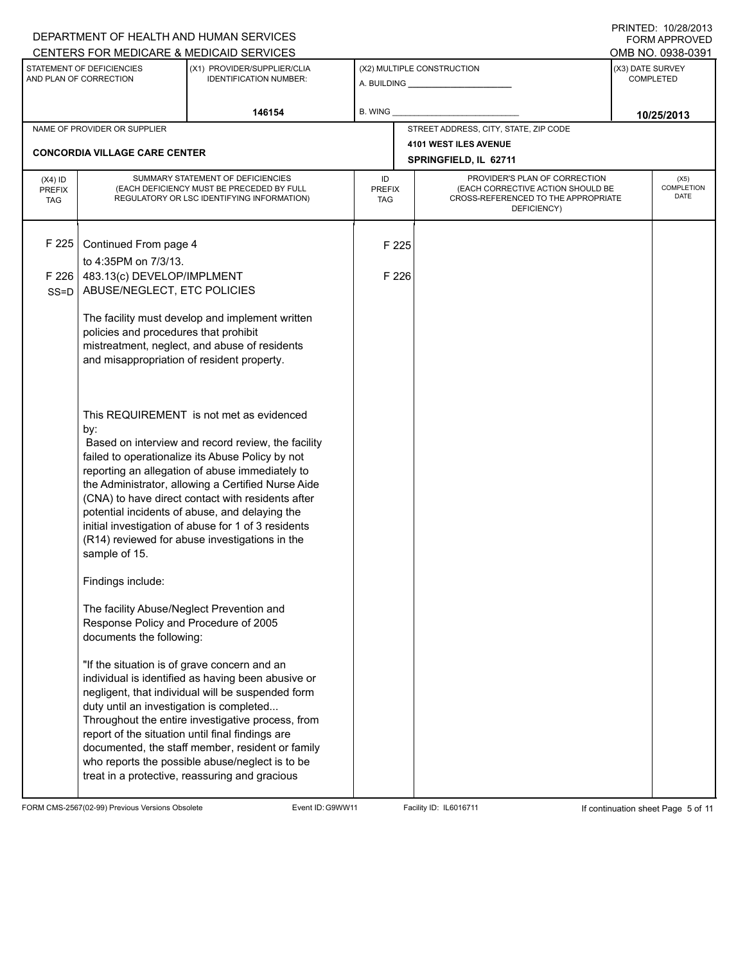|                                          |                                                                                                                | DEPARTMENT OF HEALTH AND HUMAN SERVICES                                                                                                                                                                                                                                                                                                                                                                                                                                     |                            |       |                                                                                                                          |                  | I INITILLY. IVILVILVIV<br><b>FORM APPROVED</b> |
|------------------------------------------|----------------------------------------------------------------------------------------------------------------|-----------------------------------------------------------------------------------------------------------------------------------------------------------------------------------------------------------------------------------------------------------------------------------------------------------------------------------------------------------------------------------------------------------------------------------------------------------------------------|----------------------------|-------|--------------------------------------------------------------------------------------------------------------------------|------------------|------------------------------------------------|
|                                          |                                                                                                                | CENTERS FOR MEDICARE & MEDICAID SERVICES                                                                                                                                                                                                                                                                                                                                                                                                                                    |                            |       |                                                                                                                          |                  | OMB NO. 0938-0391                              |
|                                          | STATEMENT OF DEFICIENCIES<br>AND PLAN OF CORRECTION                                                            | (X1) PROVIDER/SUPPLIER/CLIA<br><b>IDENTIFICATION NUMBER:</b>                                                                                                                                                                                                                                                                                                                                                                                                                |                            |       | (X2) MULTIPLE CONSTRUCTION                                                                                               | (X3) DATE SURVEY | <b>COMPLETED</b>                               |
|                                          |                                                                                                                | 146154                                                                                                                                                                                                                                                                                                                                                                                                                                                                      | <b>B. WING</b>             |       |                                                                                                                          |                  | 10/25/2013                                     |
|                                          | NAME OF PROVIDER OR SUPPLIER                                                                                   |                                                                                                                                                                                                                                                                                                                                                                                                                                                                             |                            |       | STREET ADDRESS, CITY, STATE, ZIP CODE                                                                                    |                  |                                                |
|                                          | <b>CONCORDIA VILLAGE CARE CENTER</b>                                                                           |                                                                                                                                                                                                                                                                                                                                                                                                                                                                             |                            |       | 4101 WEST ILES AVENUE                                                                                                    |                  |                                                |
|                                          |                                                                                                                |                                                                                                                                                                                                                                                                                                                                                                                                                                                                             |                            |       | SPRINGFIELD, IL 62711                                                                                                    |                  |                                                |
| $(X4)$ ID<br><b>PREFIX</b><br><b>TAG</b> |                                                                                                                | SUMMARY STATEMENT OF DEFICIENCIES<br>(EACH DEFICIENCY MUST BE PRECEDED BY FULL<br>REGULATORY OR LSC IDENTIFYING INFORMATION)                                                                                                                                                                                                                                                                                                                                                | ID<br><b>PREFIX</b><br>TAG |       | PROVIDER'S PLAN OF CORRECTION<br>(EACH CORRECTIVE ACTION SHOULD BE<br>CROSS-REFERENCED TO THE APPROPRIATE<br>DEFICIENCY) |                  | (X5)<br><b>COMPLETION</b><br>DATE              |
| F 225                                    | Continued From page 4<br>to 4:35PM on 7/3/13.                                                                  |                                                                                                                                                                                                                                                                                                                                                                                                                                                                             |                            | F 225 |                                                                                                                          |                  |                                                |
| F 226                                    | 483.13(c) DEVELOP/IMPLMENT                                                                                     |                                                                                                                                                                                                                                                                                                                                                                                                                                                                             |                            | F 226 |                                                                                                                          |                  |                                                |
| $SS = D$                                 | ABUSE/NEGLECT, ETC POLICIES                                                                                    |                                                                                                                                                                                                                                                                                                                                                                                                                                                                             |                            |       |                                                                                                                          |                  |                                                |
|                                          | policies and procedures that prohibit<br>and misappropriation of resident property.                            | The facility must develop and implement written<br>mistreatment, neglect, and abuse of residents                                                                                                                                                                                                                                                                                                                                                                            |                            |       |                                                                                                                          |                  |                                                |
|                                          | by:<br>sample of 15.                                                                                           | This REQUIREMENT is not met as evidenced<br>Based on interview and record review, the facility<br>failed to operationalize its Abuse Policy by not<br>reporting an allegation of abuse immediately to<br>the Administrator, allowing a Certified Nurse Aide<br>(CNA) to have direct contact with residents after<br>potential incidents of abuse, and delaying the<br>initial investigation of abuse for 1 of 3 residents<br>(R14) reviewed for abuse investigations in the |                            |       |                                                                                                                          |                  |                                                |
|                                          | Findings include:                                                                                              |                                                                                                                                                                                                                                                                                                                                                                                                                                                                             |                            |       |                                                                                                                          |                  |                                                |
|                                          | The facility Abuse/Neglect Prevention and<br>Response Policy and Procedure of 2005<br>documents the following: |                                                                                                                                                                                                                                                                                                                                                                                                                                                                             |                            |       |                                                                                                                          |                  |                                                |
|                                          | "If the situation is of grave concern and an<br>duty until an investigation is completed                       | individual is identified as having been abusive or<br>negligent, that individual will be suspended form<br>Throughout the entire investigative process, from<br>report of the situation until final findings are<br>documented, the staff member, resident or family<br>who reports the possible abuse/neglect is to be<br>treat in a protective, reassuring and gracious                                                                                                   |                            |       |                                                                                                                          |                  |                                                |

FORM CMS-2567(02-99) Previous Versions Obsolete Event ID:G9WW11 Facility ID: IL6016711 If continuation sheet Page 5 of 11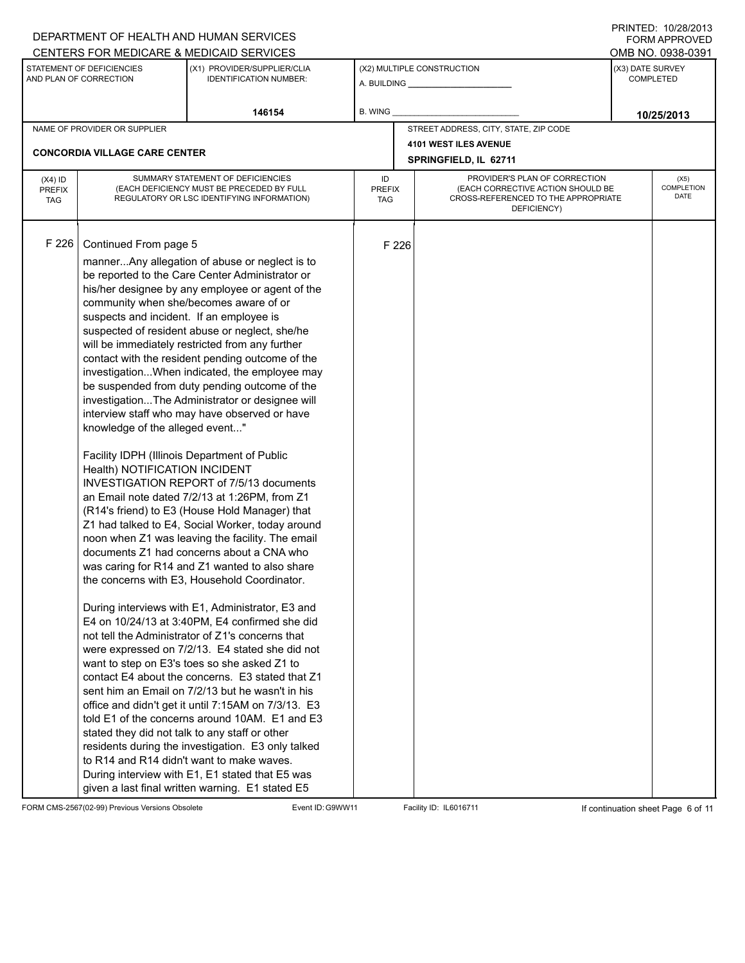|                                          |                                                                                                                                                                                       | DEPARTMENT OF HEALTH AND HUMAN SERVICES                                                                                                                                                                                                                                                                                                                                                                                                                                                                                                                                                                                                                                                                                                                                                                                                                                                                                                                                                                                                                                                                                                                                                                                                                                                                                                                                                                                                                                                                                                                                                                                                                                                                        |                            |       |                                                                                                                          |                  | 11111111127.107207210<br><b>FORM APPROVED</b> |
|------------------------------------------|---------------------------------------------------------------------------------------------------------------------------------------------------------------------------------------|----------------------------------------------------------------------------------------------------------------------------------------------------------------------------------------------------------------------------------------------------------------------------------------------------------------------------------------------------------------------------------------------------------------------------------------------------------------------------------------------------------------------------------------------------------------------------------------------------------------------------------------------------------------------------------------------------------------------------------------------------------------------------------------------------------------------------------------------------------------------------------------------------------------------------------------------------------------------------------------------------------------------------------------------------------------------------------------------------------------------------------------------------------------------------------------------------------------------------------------------------------------------------------------------------------------------------------------------------------------------------------------------------------------------------------------------------------------------------------------------------------------------------------------------------------------------------------------------------------------------------------------------------------------------------------------------------------------|----------------------------|-------|--------------------------------------------------------------------------------------------------------------------------|------------------|-----------------------------------------------|
|                                          |                                                                                                                                                                                       | CENTERS FOR MEDICARE & MEDICAID SERVICES                                                                                                                                                                                                                                                                                                                                                                                                                                                                                                                                                                                                                                                                                                                                                                                                                                                                                                                                                                                                                                                                                                                                                                                                                                                                                                                                                                                                                                                                                                                                                                                                                                                                       |                            |       |                                                                                                                          |                  | OMB NO. 0938-0391                             |
|                                          | STATEMENT OF DEFICIENCIES<br>AND PLAN OF CORRECTION                                                                                                                                   | (X1) PROVIDER/SUPPLIER/CLIA<br><b>IDENTIFICATION NUMBER:</b>                                                                                                                                                                                                                                                                                                                                                                                                                                                                                                                                                                                                                                                                                                                                                                                                                                                                                                                                                                                                                                                                                                                                                                                                                                                                                                                                                                                                                                                                                                                                                                                                                                                   |                            |       | (X2) MULTIPLE CONSTRUCTION                                                                                               | (X3) DATE SURVEY | COMPLETED                                     |
|                                          |                                                                                                                                                                                       | 146154                                                                                                                                                                                                                                                                                                                                                                                                                                                                                                                                                                                                                                                                                                                                                                                                                                                                                                                                                                                                                                                                                                                                                                                                                                                                                                                                                                                                                                                                                                                                                                                                                                                                                                         | B. WING                    |       |                                                                                                                          |                  | 10/25/2013                                    |
|                                          | NAME OF PROVIDER OR SUPPLIER                                                                                                                                                          |                                                                                                                                                                                                                                                                                                                                                                                                                                                                                                                                                                                                                                                                                                                                                                                                                                                                                                                                                                                                                                                                                                                                                                                                                                                                                                                                                                                                                                                                                                                                                                                                                                                                                                                |                            |       | STREET ADDRESS, CITY, STATE, ZIP CODE                                                                                    |                  |                                               |
|                                          |                                                                                                                                                                                       |                                                                                                                                                                                                                                                                                                                                                                                                                                                                                                                                                                                                                                                                                                                                                                                                                                                                                                                                                                                                                                                                                                                                                                                                                                                                                                                                                                                                                                                                                                                                                                                                                                                                                                                |                            |       | <b>4101 WEST ILES AVENUE</b>                                                                                             |                  |                                               |
|                                          | <b>CONCORDIA VILLAGE CARE CENTER</b>                                                                                                                                                  |                                                                                                                                                                                                                                                                                                                                                                                                                                                                                                                                                                                                                                                                                                                                                                                                                                                                                                                                                                                                                                                                                                                                                                                                                                                                                                                                                                                                                                                                                                                                                                                                                                                                                                                |                            |       | SPRINGFIELD, IL 62711                                                                                                    |                  |                                               |
| $(X4)$ ID<br><b>PREFIX</b><br><b>TAG</b> |                                                                                                                                                                                       | SUMMARY STATEMENT OF DEFICIENCIES<br>(EACH DEFICIENCY MUST BE PRECEDED BY FULL<br>REGULATORY OR LSC IDENTIFYING INFORMATION)                                                                                                                                                                                                                                                                                                                                                                                                                                                                                                                                                                                                                                                                                                                                                                                                                                                                                                                                                                                                                                                                                                                                                                                                                                                                                                                                                                                                                                                                                                                                                                                   | ID<br><b>PREFIX</b><br>TAG |       | PROVIDER'S PLAN OF CORRECTION<br>(EACH CORRECTIVE ACTION SHOULD BE<br>CROSS-REFERENCED TO THE APPROPRIATE<br>DEFICIENCY) |                  | (X5)<br>COMPLETION<br>DATE                    |
| F 226                                    | Continued From page 5<br>suspects and incident. If an employee is<br>knowledge of the alleged event"<br>Facility IDPH (Illinois Department of Public<br>Health) NOTIFICATION INCIDENT | mannerAny allegation of abuse or neglect is to<br>be reported to the Care Center Administrator or<br>his/her designee by any employee or agent of the<br>community when she/becomes aware of or<br>suspected of resident abuse or neglect, she/he<br>will be immediately restricted from any further<br>contact with the resident pending outcome of the<br>investigationWhen indicated, the employee may<br>be suspended from duty pending outcome of the<br>investigationThe Administrator or designee will<br>interview staff who may have observed or have<br>INVESTIGATION REPORT of 7/5/13 documents<br>an Email note dated 7/2/13 at 1:26PM, from Z1<br>(R14's friend) to E3 (House Hold Manager) that<br>Z1 had talked to E4, Social Worker, today around<br>noon when Z1 was leaving the facility. The email<br>documents Z1 had concerns about a CNA who<br>was caring for R14 and Z1 wanted to also share<br>the concerns with E3, Household Coordinator.<br>During interviews with E1, Administrator, E3 and<br>E4 on 10/24/13 at 3:40PM, E4 confirmed she did<br>not tell the Administrator of Z1's concerns that<br>were expressed on 7/2/13. E4 stated she did not<br>want to step on E3's toes so she asked Z1 to<br>contact E4 about the concerns. E3 stated that Z1<br>sent him an Email on 7/2/13 but he wasn't in his<br>office and didn't get it until 7:15AM on 7/3/13. E3<br>told E1 of the concerns around 10AM. E1 and E3<br>stated they did not talk to any staff or other<br>residents during the investigation. E3 only talked<br>to R14 and R14 didn't want to make waves.<br>During interview with E1, E1 stated that E5 was<br>given a last final written warning. E1 stated E5 |                            | F 226 |                                                                                                                          |                  |                                               |

FORM CMS-2567(02-99) Previous Versions Obsolete Event ID:G9WW11 Facility ID: IL6016711 If continuation sheet Page 6 of 11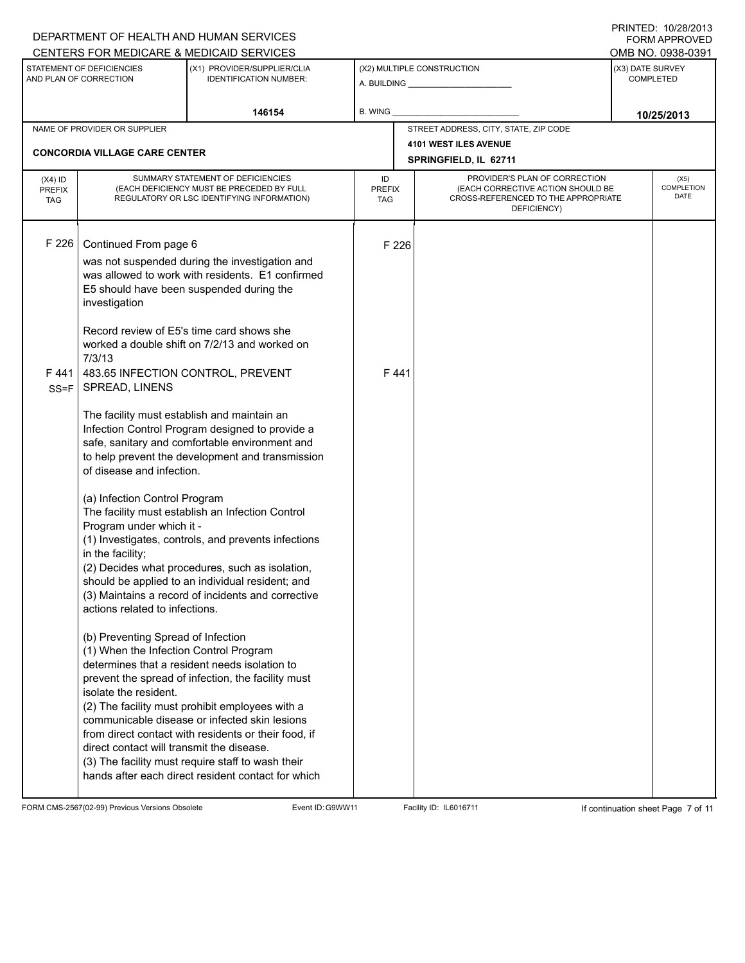|                                          |                                                                                                                                                                                                                                                                                                                                                                               | DEPARTMENT OF HEALTH AND HUMAN SERVICES                                                                                                                                                                                                                                                                                                                                                                                                                                                                                                                                                                                                                                                                                                                                                                                                          |                                   |                                       |                                                                                                                          | I INITILLY. IVILVILVIV<br><b>FORM APPROVED</b> |
|------------------------------------------|-------------------------------------------------------------------------------------------------------------------------------------------------------------------------------------------------------------------------------------------------------------------------------------------------------------------------------------------------------------------------------|--------------------------------------------------------------------------------------------------------------------------------------------------------------------------------------------------------------------------------------------------------------------------------------------------------------------------------------------------------------------------------------------------------------------------------------------------------------------------------------------------------------------------------------------------------------------------------------------------------------------------------------------------------------------------------------------------------------------------------------------------------------------------------------------------------------------------------------------------|-----------------------------------|---------------------------------------|--------------------------------------------------------------------------------------------------------------------------|------------------------------------------------|
|                                          |                                                                                                                                                                                                                                                                                                                                                                               | CENTERS FOR MEDICARE & MEDICAID SERVICES                                                                                                                                                                                                                                                                                                                                                                                                                                                                                                                                                                                                                                                                                                                                                                                                         |                                   |                                       |                                                                                                                          | OMB NO. 0938-0391                              |
|                                          | STATEMENT OF DEFICIENCIES<br>AND PLAN OF CORRECTION                                                                                                                                                                                                                                                                                                                           | (X1) PROVIDER/SUPPLIER/CLIA<br><b>IDENTIFICATION NUMBER:</b>                                                                                                                                                                                                                                                                                                                                                                                                                                                                                                                                                                                                                                                                                                                                                                                     |                                   | (X2) MULTIPLE CONSTRUCTION            |                                                                                                                          | (X3) DATE SURVEY<br><b>COMPLETED</b>           |
|                                          |                                                                                                                                                                                                                                                                                                                                                                               | 146154                                                                                                                                                                                                                                                                                                                                                                                                                                                                                                                                                                                                                                                                                                                                                                                                                                           | B. WING                           |                                       |                                                                                                                          | 10/25/2013                                     |
|                                          | NAME OF PROVIDER OR SUPPLIER                                                                                                                                                                                                                                                                                                                                                  |                                                                                                                                                                                                                                                                                                                                                                                                                                                                                                                                                                                                                                                                                                                                                                                                                                                  |                                   | STREET ADDRESS, CITY, STATE, ZIP CODE |                                                                                                                          |                                                |
|                                          | <b>CONCORDIA VILLAGE CARE CENTER</b>                                                                                                                                                                                                                                                                                                                                          |                                                                                                                                                                                                                                                                                                                                                                                                                                                                                                                                                                                                                                                                                                                                                                                                                                                  |                                   | <b>4101 WEST ILES AVENUE</b>          |                                                                                                                          |                                                |
|                                          |                                                                                                                                                                                                                                                                                                                                                                               |                                                                                                                                                                                                                                                                                                                                                                                                                                                                                                                                                                                                                                                                                                                                                                                                                                                  |                                   | SPRINGFIELD, IL 62711                 |                                                                                                                          |                                                |
| $(X4)$ ID<br><b>PREFIX</b><br><b>TAG</b> |                                                                                                                                                                                                                                                                                                                                                                               | SUMMARY STATEMENT OF DEFICIENCIES<br>(EACH DEFICIENCY MUST BE PRECEDED BY FULL<br>REGULATORY OR LSC IDENTIFYING INFORMATION)                                                                                                                                                                                                                                                                                                                                                                                                                                                                                                                                                                                                                                                                                                                     | ID<br><b>PREFIX</b><br><b>TAG</b> |                                       | PROVIDER'S PLAN OF CORRECTION<br>(EACH CORRECTIVE ACTION SHOULD BE<br>CROSS-REFERENCED TO THE APPROPRIATE<br>DEFICIENCY) | (X5)<br><b>COMPLETION</b><br><b>DATE</b>       |
| F 226                                    | Continued From page 6<br>investigation                                                                                                                                                                                                                                                                                                                                        | was not suspended during the investigation and<br>was allowed to work with residents. E1 confirmed<br>E5 should have been suspended during the<br>Record review of E5's time card shows she<br>worked a double shift on 7/2/13 and worked on                                                                                                                                                                                                                                                                                                                                                                                                                                                                                                                                                                                                     | F 226                             |                                       |                                                                                                                          |                                                |
| F 441<br>$SS = F$                        | 7/3/13<br>SPREAD, LINENS<br>The facility must establish and maintain an<br>of disease and infection.<br>(a) Infection Control Program<br>Program under which it -<br>in the facility;<br>actions related to infections.<br>(b) Preventing Spread of Infection<br>(1) When the Infection Control Program<br>isolate the resident.<br>direct contact will transmit the disease. | 483.65 INFECTION CONTROL, PREVENT<br>Infection Control Program designed to provide a<br>safe, sanitary and comfortable environment and<br>to help prevent the development and transmission<br>The facility must establish an Infection Control<br>(1) Investigates, controls, and prevents infections<br>(2) Decides what procedures, such as isolation,<br>should be applied to an individual resident; and<br>(3) Maintains a record of incidents and corrective<br>determines that a resident needs isolation to<br>prevent the spread of infection, the facility must<br>(2) The facility must prohibit employees with a<br>communicable disease or infected skin lesions<br>from direct contact with residents or their food, if<br>(3) The facility must require staff to wash their<br>hands after each direct resident contact for which | F441                              |                                       |                                                                                                                          |                                                |

FORM CMS-2567(02-99) Previous Versions Obsolete Event ID:G9WW11 Facility ID: IL6016711 If continuation sheet Page 7 of 11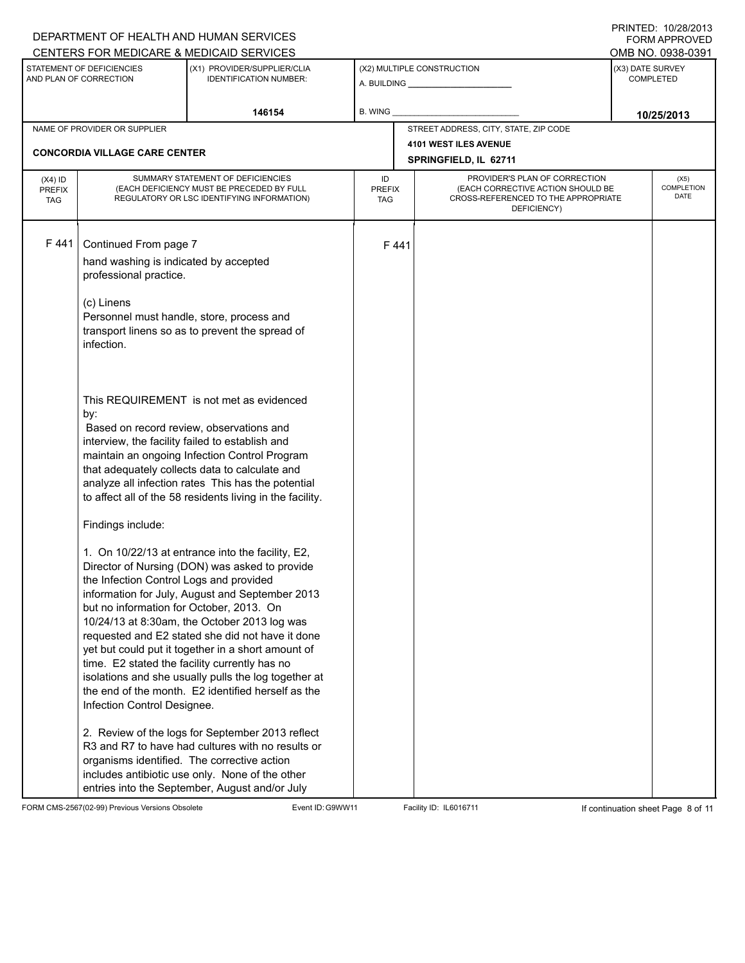|                                          |                                                                                                                      | DEPARTMENT OF HEALTH AND HUMAN SERVICES<br>CENTERS FOR MEDICARE & MEDICAID SERVICES                                                                                                                                                                                                                                                                                                                                                                                             |                                   |      |                                                                                                                          | FNINILD. IVZO    | ں اب<br>FORM APPROVED<br>OMB NO. 0938-0391 |
|------------------------------------------|----------------------------------------------------------------------------------------------------------------------|---------------------------------------------------------------------------------------------------------------------------------------------------------------------------------------------------------------------------------------------------------------------------------------------------------------------------------------------------------------------------------------------------------------------------------------------------------------------------------|-----------------------------------|------|--------------------------------------------------------------------------------------------------------------------------|------------------|--------------------------------------------|
|                                          | STATEMENT OF DEFICIENCIES<br>AND PLAN OF CORRECTION                                                                  | (X1) PROVIDER/SUPPLIER/CLIA<br><b>IDENTIFICATION NUMBER:</b>                                                                                                                                                                                                                                                                                                                                                                                                                    |                                   |      | (X2) MULTIPLE CONSTRUCTION                                                                                               | (X3) DATE SURVEY | <b>COMPLETED</b>                           |
|                                          |                                                                                                                      | 146154                                                                                                                                                                                                                                                                                                                                                                                                                                                                          | B. WING                           |      |                                                                                                                          |                  | 10/25/2013                                 |
|                                          | NAME OF PROVIDER OR SUPPLIER                                                                                         |                                                                                                                                                                                                                                                                                                                                                                                                                                                                                 |                                   |      | STREET ADDRESS, CITY, STATE, ZIP CODE                                                                                    |                  |                                            |
|                                          | <b>CONCORDIA VILLAGE CARE CENTER</b>                                                                                 |                                                                                                                                                                                                                                                                                                                                                                                                                                                                                 |                                   |      | <b>4101 WEST ILES AVENUE</b><br>SPRINGFIELD, IL 62711                                                                    |                  |                                            |
| $(X4)$ ID<br><b>PREFIX</b><br><b>TAG</b> |                                                                                                                      | SUMMARY STATEMENT OF DEFICIENCIES<br>(EACH DEFICIENCY MUST BE PRECEDED BY FULL<br>REGULATORY OR LSC IDENTIFYING INFORMATION)                                                                                                                                                                                                                                                                                                                                                    | ID<br><b>PREFIX</b><br><b>TAG</b> |      | PROVIDER'S PLAN OF CORRECTION<br>(EACH CORRECTIVE ACTION SHOULD BE<br>CROSS-REFERENCED TO THE APPROPRIATE<br>DEFICIENCY) |                  | (X5)<br>COMPLETION<br>DATE                 |
| F 441                                    | Continued From page 7<br>hand washing is indicated by accepted<br>professional practice.<br>(c) Linens<br>infection. | Personnel must handle, store, process and<br>transport linens so as to prevent the spread of                                                                                                                                                                                                                                                                                                                                                                                    |                                   | F441 |                                                                                                                          |                  |                                            |
|                                          | by:<br>interview, the facility failed to establish and                                                               | This REQUIREMENT is not met as evidenced<br>Based on record review, observations and<br>maintain an ongoing Infection Control Program<br>that adequately collects data to calculate and<br>analyze all infection rates This has the potential<br>to affect all of the 58 residents living in the facility.                                                                                                                                                                      |                                   |      |                                                                                                                          |                  |                                            |
|                                          | Findings include:                                                                                                    |                                                                                                                                                                                                                                                                                                                                                                                                                                                                                 |                                   |      |                                                                                                                          |                  |                                            |
|                                          | the Infection Control Logs and provided<br>but no information for October, 2013. On<br>Infection Control Designee.   | 1. On 10/22/13 at entrance into the facility, E2,<br>Director of Nursing (DON) was asked to provide<br>information for July, August and September 2013<br>10/24/13 at 8:30am, the October 2013 log was<br>requested and E2 stated she did not have it done<br>yet but could put it together in a short amount of<br>time. E2 stated the facility currently has no<br>isolations and she usually pulls the log together at<br>the end of the month. E2 identified herself as the |                                   |      |                                                                                                                          |                  |                                            |
|                                          |                                                                                                                      | 2. Review of the logs for September 2013 reflect<br>R3 and R7 to have had cultures with no results or<br>organisms identified. The corrective action<br>includes antibiotic use only. None of the other<br>entries into the September, August and/or July                                                                                                                                                                                                                       |                                   |      |                                                                                                                          |                  |                                            |

FORM CMS-2567(02-99) Previous Versions Obsolete Event ID:G9WW11 Facility ID: IL6016711 If continuation sheet Page 8 of 11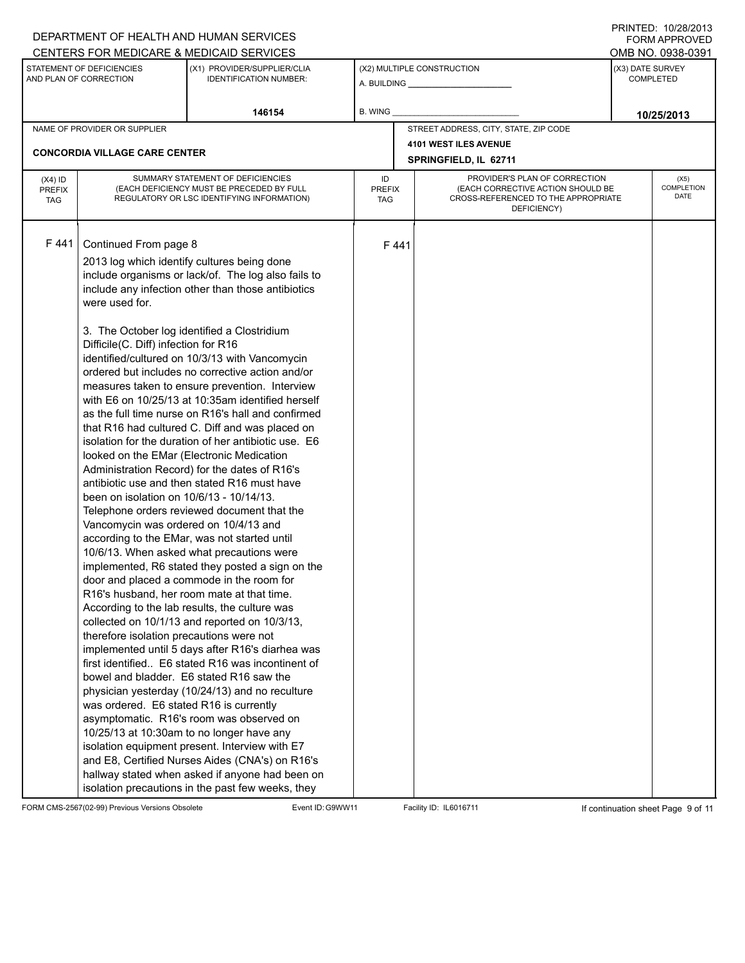|                                          |                                                                                                                                                                                                                                                                                                                                                         | DEPARTMENT OF HEALTH AND HUMAN SERVICES                                                                                                                                                                                                                                                                                                                                                                                                                                                                                                                                                                                                                                                                                                                                                                                                                                                                                                                                                                                                                                                                                                                                                                                                                                                                                                                                                                                                                                                                                                            |                            |      |                                                                                                                          |                  | <b>FORM APPROVED</b>              |
|------------------------------------------|---------------------------------------------------------------------------------------------------------------------------------------------------------------------------------------------------------------------------------------------------------------------------------------------------------------------------------------------------------|----------------------------------------------------------------------------------------------------------------------------------------------------------------------------------------------------------------------------------------------------------------------------------------------------------------------------------------------------------------------------------------------------------------------------------------------------------------------------------------------------------------------------------------------------------------------------------------------------------------------------------------------------------------------------------------------------------------------------------------------------------------------------------------------------------------------------------------------------------------------------------------------------------------------------------------------------------------------------------------------------------------------------------------------------------------------------------------------------------------------------------------------------------------------------------------------------------------------------------------------------------------------------------------------------------------------------------------------------------------------------------------------------------------------------------------------------------------------------------------------------------------------------------------------------|----------------------------|------|--------------------------------------------------------------------------------------------------------------------------|------------------|-----------------------------------|
|                                          |                                                                                                                                                                                                                                                                                                                                                         | CENTERS FOR MEDICARE & MEDICAID SERVICES                                                                                                                                                                                                                                                                                                                                                                                                                                                                                                                                                                                                                                                                                                                                                                                                                                                                                                                                                                                                                                                                                                                                                                                                                                                                                                                                                                                                                                                                                                           |                            |      |                                                                                                                          |                  | OMB NO. 0938-0391                 |
|                                          | STATEMENT OF DEFICIENCIES<br>AND PLAN OF CORRECTION                                                                                                                                                                                                                                                                                                     | (X1) PROVIDER/SUPPLIER/CLIA<br><b>IDENTIFICATION NUMBER:</b>                                                                                                                                                                                                                                                                                                                                                                                                                                                                                                                                                                                                                                                                                                                                                                                                                                                                                                                                                                                                                                                                                                                                                                                                                                                                                                                                                                                                                                                                                       |                            |      | (X2) MULTIPLE CONSTRUCTION                                                                                               | (X3) DATE SURVEY | <b>COMPLETED</b>                  |
|                                          |                                                                                                                                                                                                                                                                                                                                                         | 146154                                                                                                                                                                                                                                                                                                                                                                                                                                                                                                                                                                                                                                                                                                                                                                                                                                                                                                                                                                                                                                                                                                                                                                                                                                                                                                                                                                                                                                                                                                                                             | <b>B. WING</b>             |      |                                                                                                                          |                  | 10/25/2013                        |
|                                          | NAME OF PROVIDER OR SUPPLIER                                                                                                                                                                                                                                                                                                                            |                                                                                                                                                                                                                                                                                                                                                                                                                                                                                                                                                                                                                                                                                                                                                                                                                                                                                                                                                                                                                                                                                                                                                                                                                                                                                                                                                                                                                                                                                                                                                    |                            |      | STREET ADDRESS, CITY, STATE, ZIP CODE                                                                                    |                  |                                   |
|                                          |                                                                                                                                                                                                                                                                                                                                                         |                                                                                                                                                                                                                                                                                                                                                                                                                                                                                                                                                                                                                                                                                                                                                                                                                                                                                                                                                                                                                                                                                                                                                                                                                                                                                                                                                                                                                                                                                                                                                    |                            |      | 4101 WEST ILES AVENUE                                                                                                    |                  |                                   |
|                                          | <b>CONCORDIA VILLAGE CARE CENTER</b>                                                                                                                                                                                                                                                                                                                    |                                                                                                                                                                                                                                                                                                                                                                                                                                                                                                                                                                                                                                                                                                                                                                                                                                                                                                                                                                                                                                                                                                                                                                                                                                                                                                                                                                                                                                                                                                                                                    |                            |      | SPRINGFIELD, IL 62711                                                                                                    |                  |                                   |
| $(X4)$ ID<br><b>PREFIX</b><br><b>TAG</b> |                                                                                                                                                                                                                                                                                                                                                         | SUMMARY STATEMENT OF DEFICIENCIES<br>(EACH DEFICIENCY MUST BE PRECEDED BY FULL<br>REGULATORY OR LSC IDENTIFYING INFORMATION)                                                                                                                                                                                                                                                                                                                                                                                                                                                                                                                                                                                                                                                                                                                                                                                                                                                                                                                                                                                                                                                                                                                                                                                                                                                                                                                                                                                                                       | ID<br><b>PREFIX</b><br>TAG |      | PROVIDER'S PLAN OF CORRECTION<br>(EACH CORRECTIVE ACTION SHOULD BE<br>CROSS-REFERENCED TO THE APPROPRIATE<br>DEFICIENCY) |                  | (X5)<br><b>COMPLETION</b><br>DATE |
| F 441                                    | Continued From page 8<br>were used for.<br>3. The October log identified a Clostridium<br>Difficile(C. Diff) infection for R16<br>looked on the EMar (Electronic Medication<br>been on isolation on 10/6/13 - 10/14/13.<br>Vancomycin was ordered on 10/4/13 and<br>therefore isolation precautions were not<br>was ordered. E6 stated R16 is currently | 2013 log which identify cultures being done<br>include organisms or lack/of. The log also fails to<br>include any infection other than those antibiotics<br>identified/cultured on 10/3/13 with Vancomycin<br>ordered but includes no corrective action and/or<br>measures taken to ensure prevention. Interview<br>with E6 on 10/25/13 at 10:35am identified herself<br>as the full time nurse on R16's hall and confirmed<br>that R16 had cultured C. Diff and was placed on<br>isolation for the duration of her antibiotic use. E6<br>Administration Record) for the dates of R16's<br>antibiotic use and then stated R16 must have<br>Telephone orders reviewed document that the<br>according to the EMar, was not started until<br>10/6/13. When asked what precautions were<br>implemented, R6 stated they posted a sign on the<br>door and placed a commode in the room for<br>R16's husband, her room mate at that time.<br>According to the lab results, the culture was<br>collected on 10/1/13 and reported on 10/3/13,<br>implemented until 5 days after R16's diarhea was<br>first identified E6 stated R16 was incontinent of<br>bowel and bladder. E6 stated R16 saw the<br>physician yesterday (10/24/13) and no reculture<br>asymptomatic. R16's room was observed on<br>10/25/13 at 10:30am to no longer have any<br>isolation equipment present. Interview with E7<br>and E8, Certified Nurses Aides (CNA's) on R16's<br>hallway stated when asked if anyone had been on<br>isolation precautions in the past few weeks, they |                            | F441 |                                                                                                                          |                  |                                   |

FORM CMS-2567(02-99) Previous Versions Obsolete Event ID:G9WW11 Facility ID: IL6016711 If continuation sheet Page 9 of 11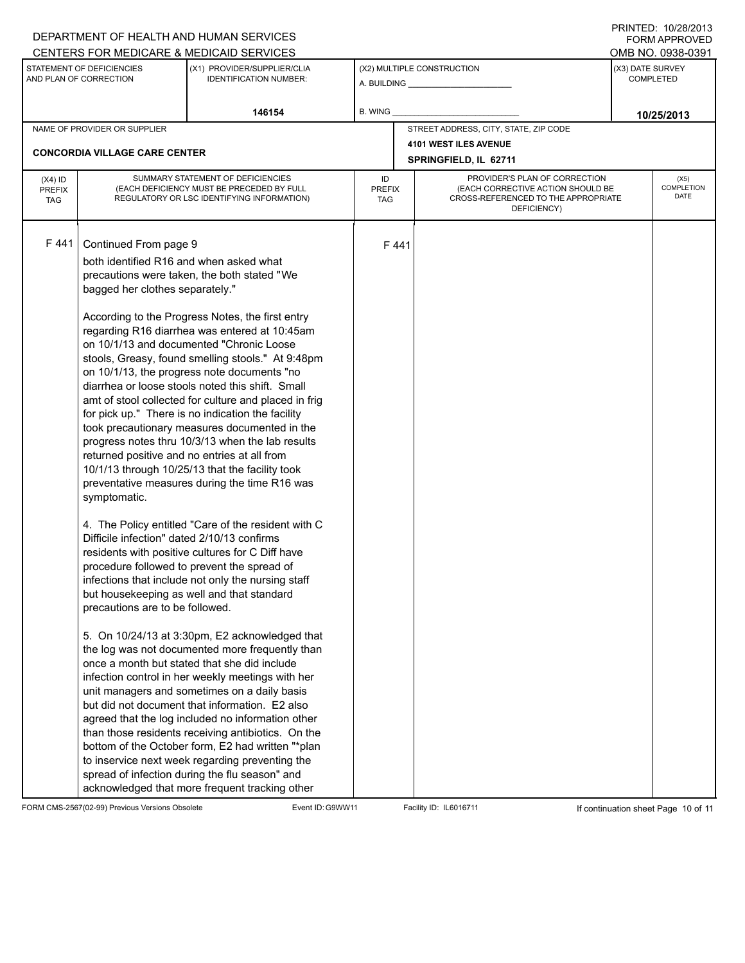|                                          |                                                                                                                                                                                                                                                       | DEPARTMENT OF HEALTH AND HUMAN SERVICES                                                                                                                                                                                                                                                                                                                                                                                                                                                                                                                                                                                                                                                                                                                                                                                                                                                                                                                                                                                                                                                                                                                                                                                                                                                                                                                                                                                                                                                                                                                                      |                            |      |                                                                                                                          |                  | $1 \times 1 \times 1 = 1$ . $1 \times 1 = 1 \times 1$<br><b>FORM APPROVED</b> |
|------------------------------------------|-------------------------------------------------------------------------------------------------------------------------------------------------------------------------------------------------------------------------------------------------------|------------------------------------------------------------------------------------------------------------------------------------------------------------------------------------------------------------------------------------------------------------------------------------------------------------------------------------------------------------------------------------------------------------------------------------------------------------------------------------------------------------------------------------------------------------------------------------------------------------------------------------------------------------------------------------------------------------------------------------------------------------------------------------------------------------------------------------------------------------------------------------------------------------------------------------------------------------------------------------------------------------------------------------------------------------------------------------------------------------------------------------------------------------------------------------------------------------------------------------------------------------------------------------------------------------------------------------------------------------------------------------------------------------------------------------------------------------------------------------------------------------------------------------------------------------------------------|----------------------------|------|--------------------------------------------------------------------------------------------------------------------------|------------------|-------------------------------------------------------------------------------|
|                                          |                                                                                                                                                                                                                                                       | CENTERS FOR MEDICARE & MEDICAID SERVICES                                                                                                                                                                                                                                                                                                                                                                                                                                                                                                                                                                                                                                                                                                                                                                                                                                                                                                                                                                                                                                                                                                                                                                                                                                                                                                                                                                                                                                                                                                                                     |                            |      |                                                                                                                          |                  | OMB NO. 0938-0391                                                             |
|                                          | STATEMENT OF DEFICIENCIES<br>AND PLAN OF CORRECTION                                                                                                                                                                                                   | (X1) PROVIDER/SUPPLIER/CLIA<br><b>IDENTIFICATION NUMBER:</b>                                                                                                                                                                                                                                                                                                                                                                                                                                                                                                                                                                                                                                                                                                                                                                                                                                                                                                                                                                                                                                                                                                                                                                                                                                                                                                                                                                                                                                                                                                                 |                            |      | (X2) MULTIPLE CONSTRUCTION                                                                                               | (X3) DATE SURVEY | <b>COMPLETED</b>                                                              |
|                                          |                                                                                                                                                                                                                                                       | 146154                                                                                                                                                                                                                                                                                                                                                                                                                                                                                                                                                                                                                                                                                                                                                                                                                                                                                                                                                                                                                                                                                                                                                                                                                                                                                                                                                                                                                                                                                                                                                                       | B. WING                    |      |                                                                                                                          |                  | 10/25/2013                                                                    |
|                                          | NAME OF PROVIDER OR SUPPLIER                                                                                                                                                                                                                          |                                                                                                                                                                                                                                                                                                                                                                                                                                                                                                                                                                                                                                                                                                                                                                                                                                                                                                                                                                                                                                                                                                                                                                                                                                                                                                                                                                                                                                                                                                                                                                              |                            |      | STREET ADDRESS, CITY, STATE, ZIP CODE                                                                                    |                  |                                                                               |
|                                          |                                                                                                                                                                                                                                                       |                                                                                                                                                                                                                                                                                                                                                                                                                                                                                                                                                                                                                                                                                                                                                                                                                                                                                                                                                                                                                                                                                                                                                                                                                                                                                                                                                                                                                                                                                                                                                                              |                            |      | 4101 WEST ILES AVENUE                                                                                                    |                  |                                                                               |
|                                          | <b>CONCORDIA VILLAGE CARE CENTER</b>                                                                                                                                                                                                                  |                                                                                                                                                                                                                                                                                                                                                                                                                                                                                                                                                                                                                                                                                                                                                                                                                                                                                                                                                                                                                                                                                                                                                                                                                                                                                                                                                                                                                                                                                                                                                                              |                            |      | SPRINGFIELD, IL 62711                                                                                                    |                  |                                                                               |
| $(X4)$ ID<br><b>PREFIX</b><br><b>TAG</b> |                                                                                                                                                                                                                                                       | SUMMARY STATEMENT OF DEFICIENCIES<br>(EACH DEFICIENCY MUST BE PRECEDED BY FULL<br>REGULATORY OR LSC IDENTIFYING INFORMATION)                                                                                                                                                                                                                                                                                                                                                                                                                                                                                                                                                                                                                                                                                                                                                                                                                                                                                                                                                                                                                                                                                                                                                                                                                                                                                                                                                                                                                                                 | ID<br><b>PREFIX</b><br>TAG |      | PROVIDER'S PLAN OF CORRECTION<br>(EACH CORRECTIVE ACTION SHOULD BE<br>CROSS-REFERENCED TO THE APPROPRIATE<br>DEFICIENCY) |                  | (X5)<br><b>COMPLETION</b><br>DATE                                             |
| F 441                                    | Continued From page 9<br>both identified R16 and when asked what<br>bagged her clothes separately."<br>returned positive and no entries at all from<br>symptomatic.<br>Difficile infection" dated 2/10/13 confirms<br>precautions are to be followed. | precautions were taken, the both stated "We<br>According to the Progress Notes, the first entry<br>regarding R16 diarrhea was entered at 10:45am<br>on 10/1/13 and documented "Chronic Loose<br>stools, Greasy, found smelling stools." At 9:48pm<br>on 10/1/13, the progress note documents "no<br>diarrhea or loose stools noted this shift. Small<br>amt of stool collected for culture and placed in frig<br>for pick up." There is no indication the facility<br>took precautionary measures documented in the<br>progress notes thru 10/3/13 when the lab results<br>10/1/13 through 10/25/13 that the facility took<br>preventative measures during the time R16 was<br>4. The Policy entitled "Care of the resident with C<br>residents with positive cultures for C Diff have<br>procedure followed to prevent the spread of<br>infections that include not only the nursing staff<br>but housekeeping as well and that standard<br>5. On 10/24/13 at 3:30pm, E2 acknowledged that<br>the log was not documented more frequently than<br>once a month but stated that she did include<br>infection control in her weekly meetings with her<br>unit managers and sometimes on a daily basis<br>but did not document that information. E2 also<br>agreed that the log included no information other<br>than those residents receiving antibiotics. On the<br>bottom of the October form, E2 had written "*plan<br>to inservice next week regarding preventing the<br>spread of infection during the flu season" and<br>acknowledged that more frequent tracking other |                            | F441 |                                                                                                                          |                  |                                                                               |

FORM CMS-2567(02-99) Previous Versions Obsolete Event ID:G9WW11 Facility ID: IL6016711 If continuation sheet Page 10 of 11